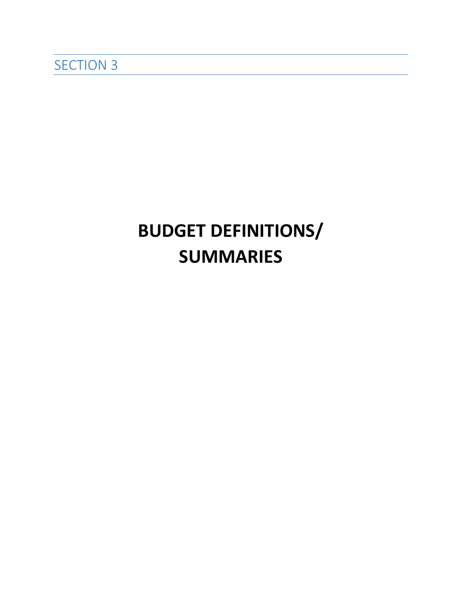# **BUDGET DEFINITIONS/ SUMMARIES**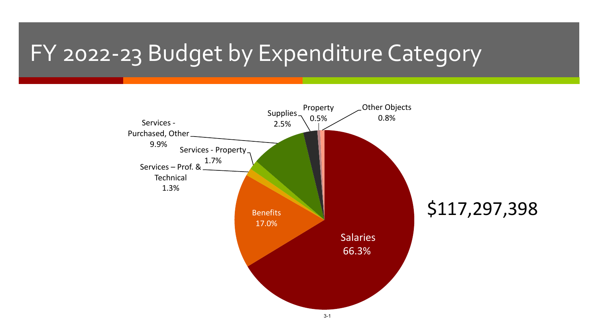# FY 2022-23 Budget by Expenditure Category

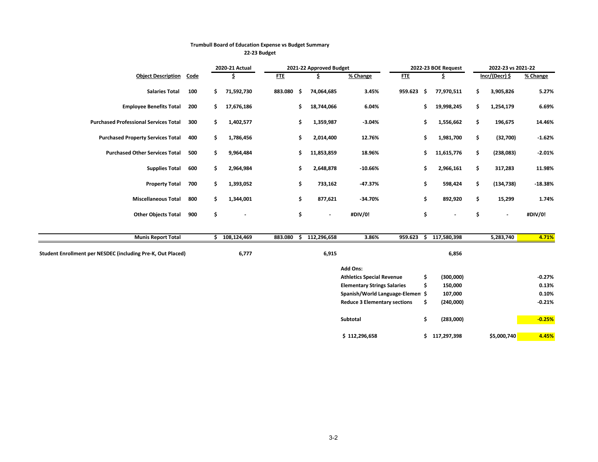|                                                             |             |    | 2021-22 Approved Budget<br>2020-21 Actual |            |     |                          |                                     |            |     | 2022-23 BOE Request | 2022-23 vs 2021-22   |           |  |
|-------------------------------------------------------------|-------------|----|-------------------------------------------|------------|-----|--------------------------|-------------------------------------|------------|-----|---------------------|----------------------|-----------|--|
| <b>Object Description</b>                                   | <b>Code</b> |    | \$                                        | <b>FTE</b> |     | \$                       | % Change                            | <b>FTE</b> |     | \$.                 | Incr/(Decr) \$       | % Change  |  |
| <b>Salaries Total</b>                                       | 100         | \$ | 71,592,730                                | 883.080    | -\$ | 74,064,685               | 3.45%                               | 959.623    | - Ś | 77,970,511          | \$<br>3,905,826      | 5.27%     |  |
| <b>Employee Benefits Total</b>                              | 200         | \$ | 17,676,186                                |            | \$  | 18,744,066               | 6.04%                               |            | \$  | 19,998,245          | \$<br>1,254,179      | 6.69%     |  |
| <b>Purchased Professional Services Total</b>                | 300         | \$ | 1,402,577                                 |            | \$  | 1,359,987                | $-3.04%$                            |            | \$  | 1,556,662           | \$<br>196,675        | 14.46%    |  |
| <b>Purchased Property Services Total</b>                    | 400         | \$ | 1,786,456                                 |            | \$  | 2,014,400                | 12.76%                              |            | \$  | 1,981,700           | \$<br>(32,700)       | $-1.62%$  |  |
| <b>Purchased Other Services Total</b>                       | 500         | \$ | 9,964,484                                 |            | \$  | 11,853,859               | 18.96%                              |            | \$  | 11,615,776          | \$<br>(238,083)      | $-2.01%$  |  |
| <b>Supplies Total</b>                                       | 600         | \$ | 2,964,984                                 |            | \$  | 2,648,878                | $-10.66%$                           |            | \$  | 2,966,161           | \$<br>317,283        | 11.98%    |  |
| <b>Property Total</b>                                       | 700         | \$ | 1,393,052                                 |            | \$  | 733,162                  | $-47.37%$                           |            | \$  | 598,424             | \$<br>(134, 738)     | $-18.38%$ |  |
| <b>Miscellaneous Total</b>                                  | 800         | \$ | 1,344,001                                 |            | \$  | 877,621                  | $-34.70%$                           |            | \$  | 892,920             | \$<br>15,299         | 1.74%     |  |
| <b>Other Objects Total</b>                                  | 900         | \$ | $\blacksquare$                            |            | \$  | $\overline{\phantom{a}}$ | #DIV/0!                             |            | \$  |                     | \$<br>$\blacksquare$ | #DIV/0!   |  |
| <b>Munis Report Total</b>                                   |             |    | \$108,124,469                             | 883.080    | \$  | 112,296,658              | 3.86%                               | 959.623    |     | \$117,580,398       | 5,283,740            | 4.71%     |  |
| Student Enrollment per NESDEC (including Pre-K, Out Placed) |             |    | 6,777                                     |            |     | 6,915                    |                                     |            |     | 6,856               |                      |           |  |
|                                                             |             |    |                                           |            |     |                          | Add Ons:                            |            |     |                     |                      |           |  |
|                                                             |             |    |                                           |            |     |                          | <b>Athletics Special Revenue</b>    |            | \$  | (300,000)           |                      | $-0.27%$  |  |
|                                                             |             |    |                                           |            |     |                          | <b>Elementary Strings Salaries</b>  |            | \$  | 150,000             |                      | 0.13%     |  |
|                                                             |             |    |                                           |            |     |                          | Spanish/World Language-Elemen \$    |            |     | 107,000             |                      | 0.10%     |  |
|                                                             |             |    |                                           |            |     |                          | <b>Reduce 3 Elementary sections</b> |            | \$  | (240,000)           |                      | $-0.21%$  |  |
|                                                             |             |    |                                           |            |     |                          | Subtotal                            |            | \$  | (283,000)           |                      | $-0.25%$  |  |
|                                                             |             |    |                                           |            |     |                          | \$112,296,658                       |            |     | \$117,297,398       | \$5,000,740          | 4.45%     |  |

## **Trumbull Board of Education Expense vs Budget Summary**

**22-23 Budget**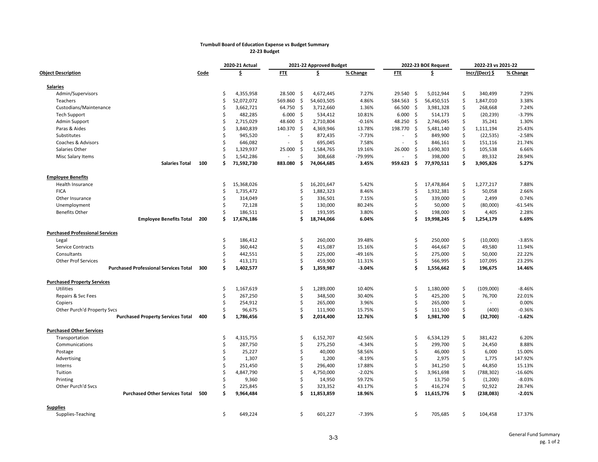#### **Trumbull Board of Education Expense vs Budget Summary 22-23 Budget**

|                                              |      | 2020-21 Actual |            |                                | 2021-22 Approved Budget |           |                          | 2022-23 BOE Request | 2022-23 vs 2021-22 |    |                  |           |
|----------------------------------------------|------|----------------|------------|--------------------------------|-------------------------|-----------|--------------------------|---------------------|--------------------|----|------------------|-----------|
| <b>Object Description</b>                    | Code |                | \$.        | <b>FTE</b>                     | \$.                     | % Change  | <b>FTE</b>               |                     | \$.                |    | $Incr/(Decr)$ \$ | % Change  |
| <b>Salaries</b>                              |      |                |            |                                |                         |           |                          |                     |                    |    |                  |           |
| Admin/Supervisors                            |      | Ś              | 4,355,958  | 28.500<br>-\$                  | 4,672,445               | 7.27%     | 29.540 \$                |                     | 5,012,944          | \$ | 340,499          | 7.29%     |
| Teachers                                     |      | Ś              | 52,072,072 | 569.860<br>$\ddot{\varsigma}$  | 54,603,505              | 4.86%     | 584.563 \$               |                     | 56,450,515         | \$ | 1,847,010        | 3.38%     |
| Custodians/Maintenance                       |      | Ś              | 3,662,721  | 64.750<br>\$                   | 3,712,660               | 1.36%     | 66.500 \$                |                     | 3,981,328          | \$ | 268,668          | 7.24%     |
| <b>Tech Support</b>                          |      | Ś              | 482,285    | 6.000<br>-\$                   | 534,412                 | 10.81%    | $6.000$ \$               |                     | 514,173            | \$ | (20, 239)        | $-3.79%$  |
| Admin Support                                |      | Ś              | 2,715,029  | 48.600<br>\$                   | 2,710,804               | $-0.16%$  | 48.250 \$                |                     | 2,746,045          | Ś. | 35,241           | 1.30%     |
| Paras & Aides                                |      | Ś              | 3,840,839  | 140.370<br>\$                  | 4,369,946               | 13.78%    | 198.770 \$               |                     | 5,481,140          | \$ | 1,111,194        | 25.43%    |
| Substitutes                                  |      | Ś              | 945,520    | \$<br>$\overline{\phantom{a}}$ | 872,435                 | $-7.73%$  | $\overline{\phantom{a}}$ | \$                  | 849,900            | \$ | (22, 535)        | $-2.58%$  |
| Coaches & Advisors                           |      | Ś              | 646,082    | Ś<br>$\overline{\phantom{a}}$  | 695,045                 | 7.58%     |                          | \$                  | 846,161            | \$ | 151,116          | 21.74%    |
| Salaries Other                               |      | Ś              | 1,329,937  | 25.000<br>\$                   | 1,584,765               | 19.16%    | 26.000                   | -\$                 | 1,690,303          | \$ | 105,538          | 6.66%     |
| Misc Salary Items                            |      | Ś              | 1,542,286  | Ś<br>$\overline{a}$            | 308,668                 | -79.99%   |                          | Ś                   | 398,000            | \$ | 89,332           | 28.94%    |
| <b>Salaries Total</b>                        | 100  | Ś              | 71,592,730 | 883.080<br>\$.                 | 74,064,685              | 3.45%     | 959.623                  | -\$                 | 77,970,511         | \$ | 3,905,826        | 5.27%     |
| <b>Employee Benefits</b>                     |      |                |            |                                |                         |           |                          |                     |                    |    |                  |           |
| Health Insurance                             |      | Ś              | 15,368,026 | \$                             | 16,201,647              | 5.42%     |                          | \$                  | 17,478,864         | \$ | 1,277,217        | 7.88%     |
| <b>FICA</b>                                  |      | Ś              | 1,735,472  | \$                             | 1,882,323               | 8.46%     |                          | Ś                   | 1,932,381          | \$ | 50,058           | 2.66%     |
| Other Insurance                              |      | Ś              | 314,049    | Ś                              | 336,501                 | 7.15%     |                          | \$                  | 339,000            | \$ | 2,499            | 0.74%     |
| Unemployment                                 |      | Ś              | 72,128     | \$                             | 130,000                 | 80.24%    |                          | \$                  | 50,000             | \$ | (80,000)         | $-61.54%$ |
| <b>Benefits Other</b>                        |      | Ś              | 186,511    | Ś                              | 193,595                 | 3.80%     |                          | Ś                   | 198,000            | \$ | 4,405            | 2.28%     |
| <b>Employee Benefits Total</b>               | 200  | \$             | 17,676,186 | Ś                              | 18,744,066              | 6.04%     |                          | \$                  | 19,998,245         | \$ | 1,254,179        | 6.69%     |
| <b>Purchased Professional Services</b>       |      |                |            |                                |                         |           |                          |                     |                    |    |                  |           |
| Legal                                        |      | \$             | 186,412    | \$                             | 260,000                 | 39.48%    |                          | \$                  | 250,000            | \$ | (10,000)         | $-3.85%$  |
| Service Contracts                            |      | \$             | 360,442    | \$                             | 415,087                 | 15.16%    |                          | \$                  | 464,667            | \$ | 49,580           | 11.94%    |
| Consultants                                  |      | Ś              | 442,551    | Ś                              | 225,000                 | $-49.16%$ |                          | \$                  | 275,000            | \$ | 50,000           | 22.22%    |
| <b>Other Prof Services</b>                   |      | Ś              | 413,171    | Ś                              | 459,900                 | 11.31%    |                          | \$                  | 566,995            | \$ | 107,095          | 23.29%    |
| <b>Purchased Professional Services Total</b> | 300  | Ś              | 1,402,577  | Ś                              | 1,359,987               | $-3.04%$  |                          | Ś                   | 1,556,662          | \$ | 196,675          | 14.46%    |
| <b>Purchased Property Services</b>           |      |                |            |                                |                         |           |                          |                     |                    |    |                  |           |
| <b>Utilities</b>                             |      | Ś              | 1,167,619  | \$                             | 1,289,000               | 10.40%    |                          | \$                  | 1,180,000          | \$ | (109,000)        | $-8.46%$  |
| Repairs & Svc Fees                           |      | Ś              | 267,250    | \$                             | 348,500                 | 30.40%    |                          | \$                  | 425,200            | \$ | 76,700           | 22.01%    |
| Copiers                                      |      | Ś              | 254,912    | \$                             | 265,000                 | 3.96%     |                          | \$                  | 265,000            | \$ |                  | 0.00%     |
| Other Purch'd Property Svcs                  |      | Ś.             | 96,675     | \$                             | 111,900                 | 15.75%    |                          | \$                  | 111,500            | \$ | (400)            | $-0.36%$  |
| <b>Purchased Property Services Total</b>     | 400  | Ś              | 1,786,456  | Ś                              | 2,014,400               | 12.76%    |                          | Ś                   | 1,981,700          | \$ | (32,700)         | $-1.62%$  |
| <b>Purchased Other Services</b>              |      |                |            |                                |                         |           |                          |                     |                    |    |                  |           |
| Transportation                               |      | \$             | 4,315,755  | \$                             | 6,152,707               | 42.56%    |                          | \$                  | 6,534,129          | \$ | 381,422          | 6.20%     |
| Communications                               |      | Ś              | 287,750    | \$                             | 275,250                 | $-4.34%$  |                          | \$                  | 299,700            | \$ | 24,450           | 8.88%     |
| Postage                                      |      | Ś              | 25,227     | Ś                              | 40,000                  | 58.56%    |                          | \$                  | 46,000             | \$ | 6,000            | 15.00%    |
| Advertising                                  |      | Ś              | 1,307      | Ś                              | 1,200                   | $-8.19%$  |                          | \$                  | 2,975              | \$ | 1,775            | 147.92%   |
| Interns                                      |      | Ś              | 251,450    | \$                             | 296,400                 | 17.88%    |                          | \$                  | 341,250            | \$ | 44,850           | 15.13%    |
| Tuition                                      |      | Ś              | 4,847,790  | \$                             | 4,750,000               | $-2.02%$  |                          | \$                  | 3,961,698          | \$ | (788, 302)       | $-16.60%$ |
| Printing                                     |      | Ś              | 9,360      | Ś                              | 14,950                  | 59.72%    |                          | \$                  | 13,750             | \$ | (1,200)          | $-8.03%$  |
| Other Purch'd Svcs                           |      | Ś              | 225,845    | \$                             | 323,352                 | 43.17%    |                          | \$                  | 416,274            | \$ | 92,922           | 28.74%    |
| <b>Purchased Other Services Total</b>        | 500  | Ś              | 9,964,484  | Ś                              | 11,853,859              | 18.96%    |                          | Ś                   | 11,615,776         | \$ | (238,083)        | $-2.01%$  |
| <b>Supplies</b>                              |      |                |            |                                |                         |           |                          |                     |                    |    |                  |           |
| Supplies-Teaching                            |      | \$             | 649,224    | Ś                              | 601,227                 | $-7.39%$  |                          | \$                  | 705,685            | \$ | 104,458          | 17.37%    |
|                                              |      |                |            |                                |                         |           |                          |                     |                    |    |                  |           |